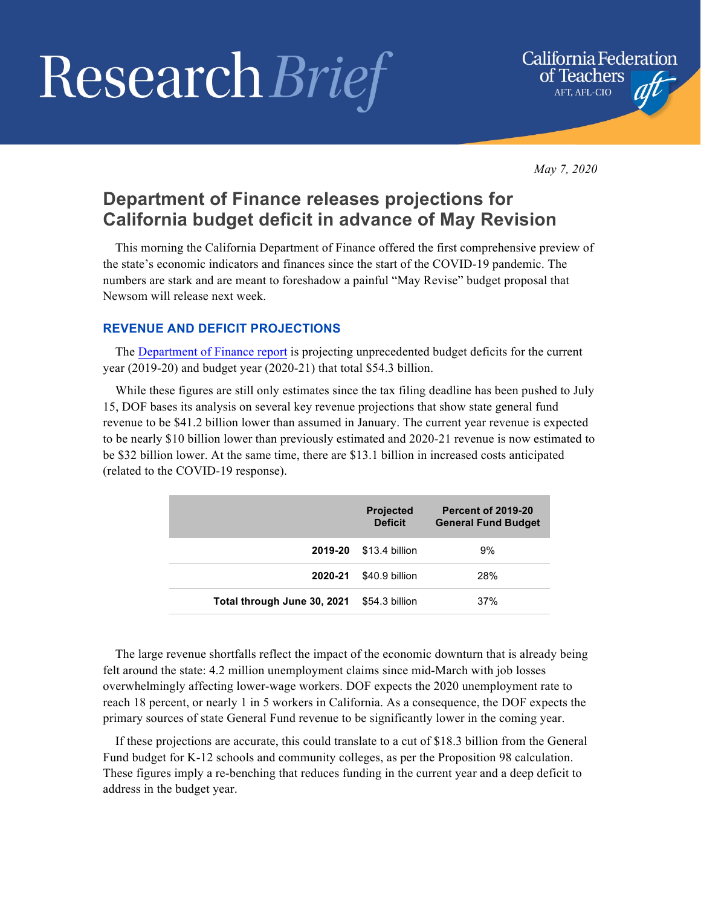# Research Brief



*May 7, 2020*

## **Department of Finance releases projections for California budget deficit in advance of May Revision**

This morning the California Department of Finance offered the first comprehensive preview of the state's economic indicators and finances since the start of the COVID-19 pandemic. The numbers are stark and are meant to foreshadow a painful "May Revise" budget proposal that Newsom will release next week.

### **REVENUE AND DEFICIT PROJECTIONS**

The Department of Finance report is projecting unprecedented budget deficits for the current year (2019-20) and budget year (2020-21) that total \$54.3 billion.

While these figures are still only estimates since the tax filing deadline has been pushed to July 15, DOF bases its analysis on several key revenue projections that show state general fund revenue to be \$41.2 billion lower than assumed in January. The current year revenue is expected to be nearly \$10 billion lower than previously estimated and 2020-21 revenue is now estimated to be \$32 billion lower. At the same time, there are \$13.1 billion in increased costs anticipated (related to the COVID-19 response).

|                             | <b>Projected</b><br><b>Deficit</b> | <b>Percent of 2019-20</b><br><b>General Fund Budget</b> |
|-----------------------------|------------------------------------|---------------------------------------------------------|
| 2019-20                     | \$13.4 billion                     | 9%                                                      |
| 2020-21                     | \$40.9 billion                     | 28%                                                     |
| Total through June 30, 2021 | \$54.3 billion                     | 37%                                                     |

The large revenue shortfalls reflect the impact of the economic downturn that is already being felt around the state: 4.2 million unemployment claims since mid-March with job losses overwhelmingly affecting lower-wage workers. DOF expects the 2020 unemployment rate to reach 18 percent, or nearly 1 in 5 workers in California. As a consequence, the DOF expects the primary sources of state General Fund revenue to be significantly lower in the coming year.

If these projections are accurate, this could translate to a cut of \$18.3 billion from the General Fund budget for K-12 schools and community colleges, as per the Proposition 98 calculation. These figures imply a re-benching that reduces funding in the current year and a deep deficit to address in the budget year.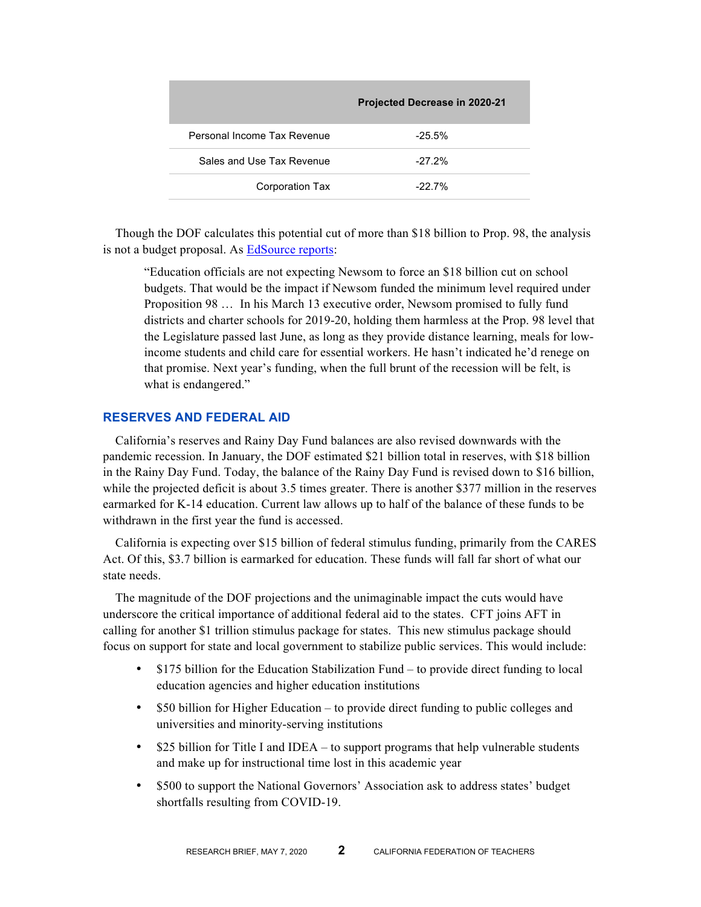|                             | <b>Projected Decrease in 2020-21</b> |
|-----------------------------|--------------------------------------|
| Personal Income Tax Revenue | $-25.5\%$                            |
| Sales and Use Tax Revenue   | $-27.2%$                             |
| Corporation Tax             | $-22.7%$                             |

Though the DOF calculates this potential cut of more than \$18 billion to Prop. 98, the analysis is not a budget proposal. As EdSource reports:

"Education officials are not expecting Newsom to force an \$18 billion cut on school budgets. That would be the impact if Newsom funded the minimum level required under Proposition 98 … In his March 13 executive order, Newsom promised to fully fund districts and charter schools for 2019-20, holding them harmless at the Prop. 98 level that the Legislature passed last June, as long as they provide distance learning, meals for lowincome students and child care for essential workers. He hasn't indicated he'd renege on that promise. Next year's funding, when the full brunt of the recession will be felt, is what is endangered."

#### **RESERVES AND FEDERAL AID**

California's reserves and Rainy Day Fund balances are also revised downwards with the pandemic recession. In January, the DOF estimated \$21 billion total in reserves, with \$18 billion in the Rainy Day Fund. Today, the balance of the Rainy Day Fund is revised down to \$16 billion, while the projected deficit is about 3.5 times greater. There is another \$377 million in the reserves earmarked for K-14 education. Current law allows up to half of the balance of these funds to be withdrawn in the first year the fund is accessed.

California is expecting over \$15 billion of federal stimulus funding, primarily from the CARES Act. Of this, \$3.7 billion is earmarked for education. These funds will fall far short of what our state needs.

The magnitude of the DOF projections and the unimaginable impact the cuts would have underscore the critical importance of additional federal aid to the states. CFT joins AFT in calling for another \$1 trillion stimulus package for states. This new stimulus package should focus on support for state and local government to stabilize public services. This would include:

- \$175 billion for the Education Stabilization Fund to provide direct funding to local education agencies and higher education institutions
- \$50 billion for Higher Education to provide direct funding to public colleges and universities and minority-serving institutions
- \$25 billion for Title I and IDEA to support programs that help vulnerable students and make up for instructional time lost in this academic year
- \$500 to support the National Governors' Association ask to address states' budget shortfalls resulting from COVID-19.